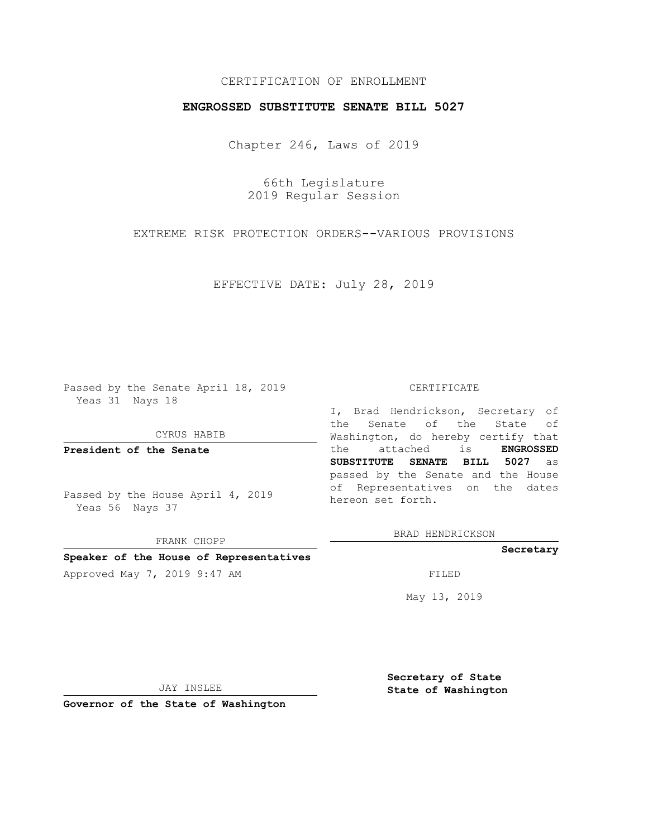## CERTIFICATION OF ENROLLMENT

## **ENGROSSED SUBSTITUTE SENATE BILL 5027**

Chapter 246, Laws of 2019

66th Legislature 2019 Regular Session

EXTREME RISK PROTECTION ORDERS--VARIOUS PROVISIONS

EFFECTIVE DATE: July 28, 2019

Passed by the Senate April 18, 2019 Yeas 31 Nays 18

CYRUS HABIB

**President of the Senate**

Passed by the House April 4, 2019 Yeas 56 Nays 37

FRANK CHOPP

#### **Speaker of the House of Representatives**

Approved May 7, 2019 9:47 AM FILED

#### CERTIFICATE

I, Brad Hendrickson, Secretary of the Senate of the State of Washington, do hereby certify that the attached is **ENGROSSED SUBSTITUTE SENATE BILL 5027** as passed by the Senate and the House of Representatives on the dates hereon set forth.

BRAD HENDRICKSON

#### **Secretary**

May 13, 2019

JAY INSLEE

**Governor of the State of Washington**

**Secretary of State State of Washington**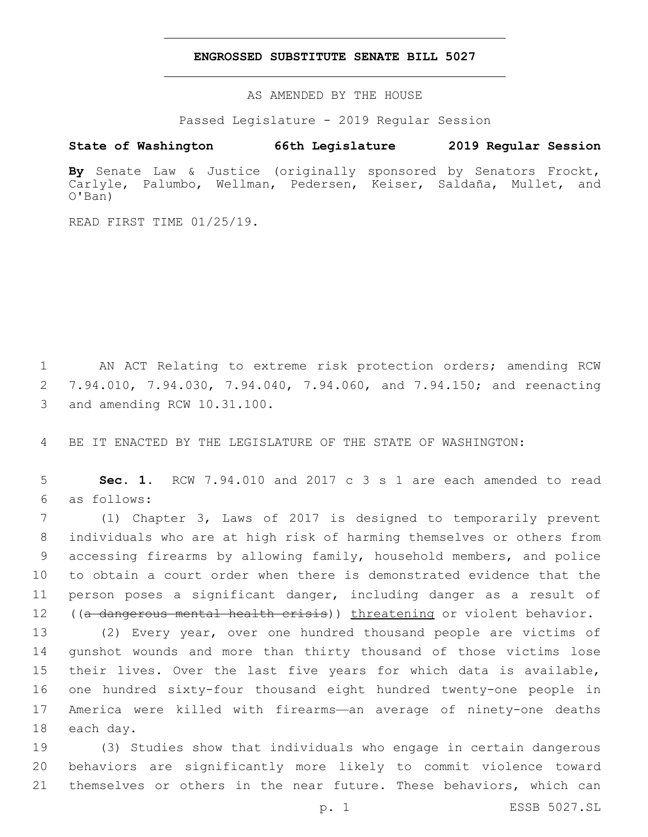### **ENGROSSED SUBSTITUTE SENATE BILL 5027**

AS AMENDED BY THE HOUSE

Passed Legislature - 2019 Regular Session

# **State of Washington 66th Legislature 2019 Regular Session**

**By** Senate Law & Justice (originally sponsored by Senators Frockt, Carlyle, Palumbo, Wellman, Pedersen, Keiser, Saldaña, Mullet, and O'Ban)

READ FIRST TIME 01/25/19.

1 AN ACT Relating to extreme risk protection orders; amending RCW 2 7.94.010, 7.94.030, 7.94.040, 7.94.060, and 7.94.150; and reenacting 3 and amending RCW 10.31.100.

4 BE IT ENACTED BY THE LEGISLATURE OF THE STATE OF WASHINGTON:

5 **Sec. 1.** RCW 7.94.010 and 2017 c 3 s 1 are each amended to read as follows:6

 (1) Chapter 3, Laws of 2017 is designed to temporarily prevent individuals who are at high risk of harming themselves or others from accessing firearms by allowing family, household members, and police to obtain a court order when there is demonstrated evidence that the person poses a significant danger, including danger as a result of 12 ((a dangerous mental health crisis)) threatening or violent behavior.

 (2) Every year, over one hundred thousand people are victims of gunshot wounds and more than thirty thousand of those victims lose their lives. Over the last five years for which data is available, one hundred sixty-four thousand eight hundred twenty-one people in America were killed with firearms—an average of ninety-one deaths 18 each day.

19 (3) Studies show that individuals who engage in certain dangerous 20 behaviors are significantly more likely to commit violence toward 21 themselves or others in the near future. These behaviors, which can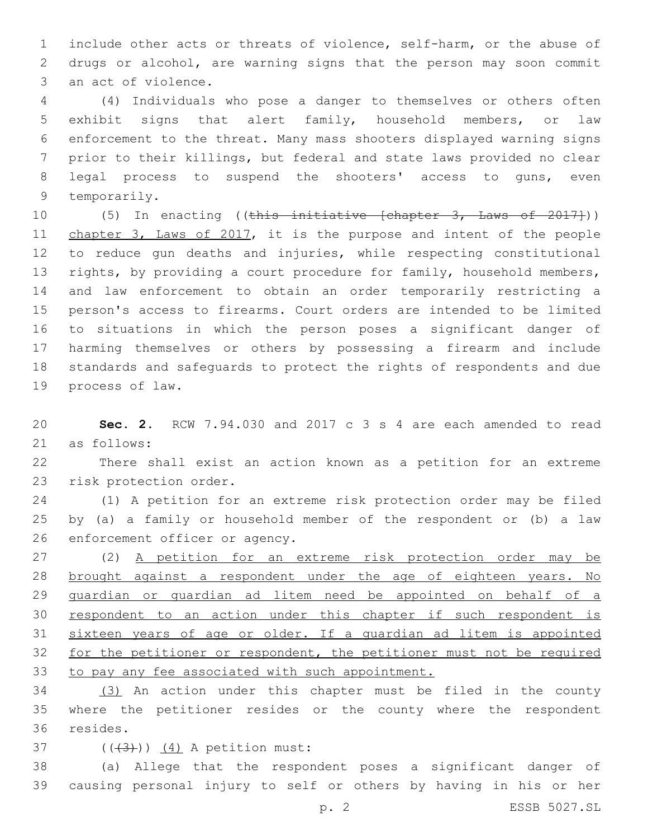include other acts or threats of violence, self-harm, or the abuse of drugs or alcohol, are warning signs that the person may soon commit 3 an act of violence.

 (4) Individuals who pose a danger to themselves or others often exhibit signs that alert family, household members, or law enforcement to the threat. Many mass shooters displayed warning signs prior to their killings, but federal and state laws provided no clear legal process to suspend the shooters' access to guns, even 9 temporarily.

10 (5) In enacting ((this initiative [chapter 3, Laws of 2017])) 11 chapter 3, Laws of 2017, it is the purpose and intent of the people to reduce gun deaths and injuries, while respecting constitutional 13 rights, by providing a court procedure for family, household members, and law enforcement to obtain an order temporarily restricting a person's access to firearms. Court orders are intended to be limited to situations in which the person poses a significant danger of harming themselves or others by possessing a firearm and include standards and safeguards to protect the rights of respondents and due 19 process of law.

 **Sec. 2.** RCW 7.94.030 and 2017 c 3 s 4 are each amended to read 21 as follows:

 There shall exist an action known as a petition for an extreme 23 risk protection order.

 (1) A petition for an extreme risk protection order may be filed by (a) a family or household member of the respondent or (b) a law 26 enforcement officer or agency.

 (2) A petition for an extreme risk protection order may be brought against a respondent under the age of eighteen years. No guardian or guardian ad litem need be appointed on behalf of a respondent to an action under this chapter if such respondent is sixteen years of age or older. If a guardian ad litem is appointed for the petitioner or respondent, the petitioner must not be required to pay any fee associated with such appointment.

 (3) An action under this chapter must be filed in the county where the petitioner resides or the county where the respondent 36 resides.

37  $((+3)^{2})$   $(4)$  A petition must:

 (a) Allege that the respondent poses a significant danger of causing personal injury to self or others by having in his or her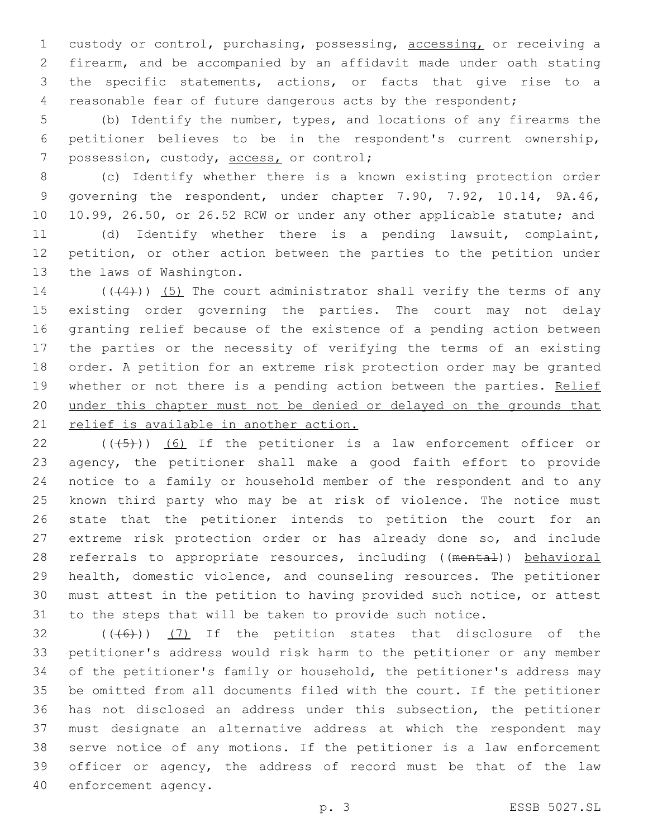custody or control, purchasing, possessing, accessing, or receiving a firearm, and be accompanied by an affidavit made under oath stating the specific statements, actions, or facts that give rise to a reasonable fear of future dangerous acts by the respondent;

 (b) Identify the number, types, and locations of any firearms the petitioner believes to be in the respondent's current ownership, 7 possession, custody, access, or control;

 (c) Identify whether there is a known existing protection order governing the respondent, under chapter 7.90, 7.92, 10.14, 9A.46, 10.99, 26.50, or 26.52 RCW or under any other applicable statute; and

 (d) Identify whether there is a pending lawsuit, complaint, petition, or other action between the parties to the petition under 13 the laws of Washington.

 $((+4))$  (5) The court administrator shall verify the terms of any existing order governing the parties. The court may not delay granting relief because of the existence of a pending action between the parties or the necessity of verifying the terms of an existing order. A petition for an extreme risk protection order may be granted 19 whether or not there is a pending action between the parties. Relief under this chapter must not be denied or delayed on the grounds that 21 relief is available in another action.

 ( $(\overline{+5})$ ) (6) If the petitioner is a law enforcement officer or agency, the petitioner shall make a good faith effort to provide notice to a family or household member of the respondent and to any known third party who may be at risk of violence. The notice must state that the petitioner intends to petition the court for an extreme risk protection order or has already done so, and include 28 referrals to appropriate resources, including ((mental)) behavioral health, domestic violence, and counseling resources. The petitioner must attest in the petition to having provided such notice, or attest to the steps that will be taken to provide such notice.

 (( $(46)$ )) (7) If the petition states that disclosure of the petitioner's address would risk harm to the petitioner or any member of the petitioner's family or household, the petitioner's address may be omitted from all documents filed with the court. If the petitioner has not disclosed an address under this subsection, the petitioner must designate an alternative address at which the respondent may serve notice of any motions. If the petitioner is a law enforcement officer or agency, the address of record must be that of the law 40 enforcement agency.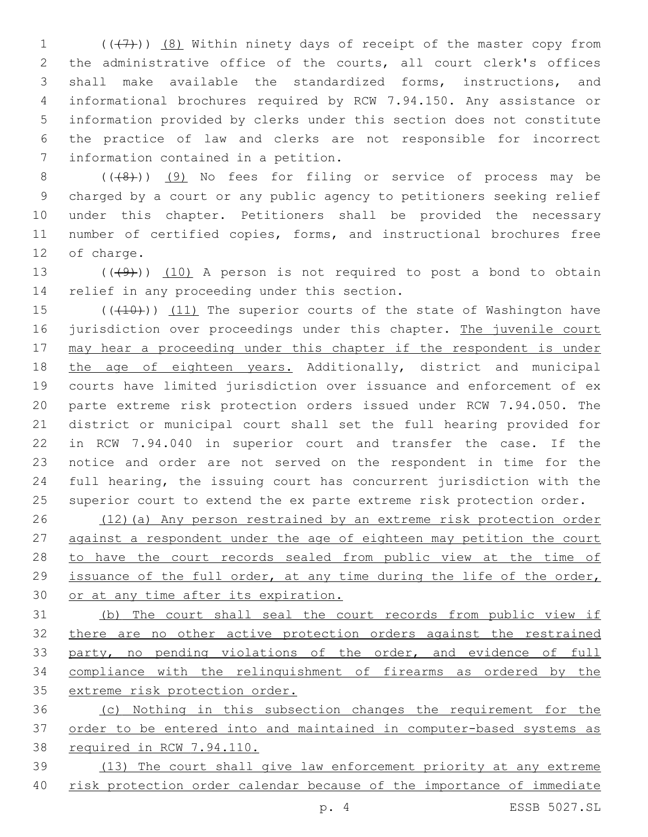$((+7)$ )  $(8)$  Within ninety days of receipt of the master copy from the administrative office of the courts, all court clerk's offices shall make available the standardized forms, instructions, and informational brochures required by RCW 7.94.150. Any assistance or information provided by clerks under this section does not constitute the practice of law and clerks are not responsible for incorrect 7 information contained in a petition.

8 (((8)) (9) No fees for filing or service of process may be charged by a court or any public agency to petitioners seeking relief under this chapter. Petitioners shall be provided the necessary number of certified copies, forms, and instructional brochures free 12 of charge.

13  $((49)$ )  $(10)$  A person is not required to post a bond to obtain 14 relief in any proceeding under this section.

15 (((410))) (11) The superior courts of the state of Washington have 16 jurisdiction over proceedings under this chapter. The juvenile court may hear a proceeding under this chapter if the respondent is under 18 the age of eighteen years. Additionally, district and municipal courts have limited jurisdiction over issuance and enforcement of ex parte extreme risk protection orders issued under RCW 7.94.050. The district or municipal court shall set the full hearing provided for in RCW 7.94.040 in superior court and transfer the case. If the notice and order are not served on the respondent in time for the full hearing, the issuing court has concurrent jurisdiction with the superior court to extend the ex parte extreme risk protection order.

 (12)(a) Any person restrained by an extreme risk protection order 27 against a respondent under the age of eighteen may petition the court 28 to have the court records sealed from public view at the time of issuance of the full order, at any time during the life of the order, or at any time after its expiration.

 (b) The court shall seal the court records from public view if there are no other active protection orders against the restrained party, no pending violations of the order, and evidence of full compliance with the relinquishment of firearms as ordered by the 35 extreme risk protection order.

 (c) Nothing in this subsection changes the requirement for the order to be entered into and maintained in computer-based systems as required in RCW 7.94.110.

 (13) The court shall give law enforcement priority at any extreme risk protection order calendar because of the importance of immediate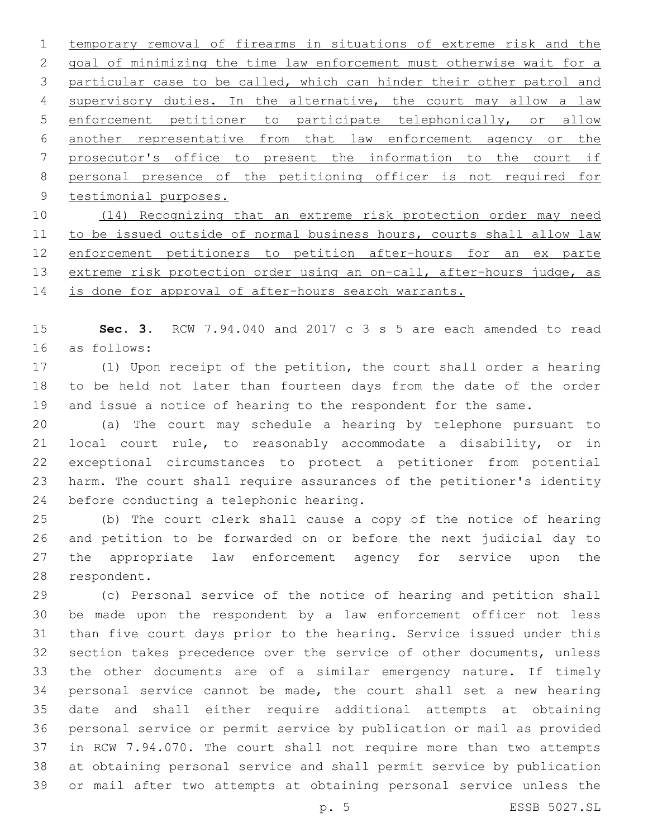temporary removal of firearms in situations of extreme risk and the goal of minimizing the time law enforcement must otherwise wait for a particular case to be called, which can hinder their other patrol and 4 supervisory duties. In the alternative, the court may allow a law enforcement petitioner to participate telephonically, or allow another representative from that law enforcement agency or the prosecutor's office to present the information to the court if personal presence of the petitioning officer is not required for 9 testimonial purposes. (14) Recognizing that an extreme risk protection order may need

11 to be issued outside of normal business hours, courts shall allow law enforcement petitioners to petition after-hours for an ex parte 13 extreme risk protection order using an on-call, after-hours judge, as 14 is done for approval of after-hours search warrants.

 **Sec. 3.** RCW 7.94.040 and 2017 c 3 s 5 are each amended to read as follows:16

 (1) Upon receipt of the petition, the court shall order a hearing to be held not later than fourteen days from the date of the order and issue a notice of hearing to the respondent for the same.

 (a) The court may schedule a hearing by telephone pursuant to local court rule, to reasonably accommodate a disability, or in exceptional circumstances to protect a petitioner from potential harm. The court shall require assurances of the petitioner's identity 24 before conducting a telephonic hearing.

 (b) The court clerk shall cause a copy of the notice of hearing and petition to be forwarded on or before the next judicial day to the appropriate law enforcement agency for service upon the 28 respondent.

 (c) Personal service of the notice of hearing and petition shall be made upon the respondent by a law enforcement officer not less than five court days prior to the hearing. Service issued under this section takes precedence over the service of other documents, unless the other documents are of a similar emergency nature. If timely personal service cannot be made, the court shall set a new hearing date and shall either require additional attempts at obtaining personal service or permit service by publication or mail as provided in RCW 7.94.070. The court shall not require more than two attempts at obtaining personal service and shall permit service by publication or mail after two attempts at obtaining personal service unless the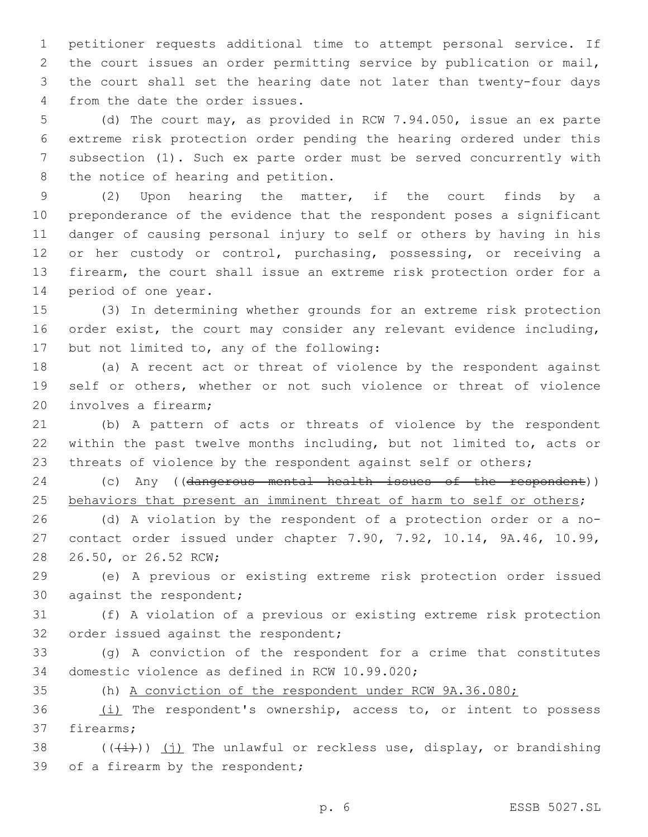petitioner requests additional time to attempt personal service. If the court issues an order permitting service by publication or mail, the court shall set the hearing date not later than twenty-four days 4 from the date the order issues.

 (d) The court may, as provided in RCW 7.94.050, issue an ex parte extreme risk protection order pending the hearing ordered under this subsection (1). Such ex parte order must be served concurrently with 8 the notice of hearing and petition.

 (2) Upon hearing the matter, if the court finds by a preponderance of the evidence that the respondent poses a significant danger of causing personal injury to self or others by having in his 12 or her custody or control, purchasing, possessing, or receiving a firearm, the court shall issue an extreme risk protection order for a 14 period of one year.

15 (3) In determining whether grounds for an extreme risk protection 16 order exist, the court may consider any relevant evidence including, 17 but not limited to, any of the following:

18 (a) A recent act or threat of violence by the respondent against 19 self or others, whether or not such violence or threat of violence 20 involves a firearm;

21 (b) A pattern of acts or threats of violence by the respondent 22 within the past twelve months including, but not limited to, acts or 23 threats of violence by the respondent against self or others;

24 (c) Any ((dangerous mental health issues of the respondent)) 25 behaviors that present an imminent threat of harm to self or others;

26 (d) A violation by the respondent of a protection order or a no-27 contact order issued under chapter 7.90, 7.92, 10.14, 9A.46, 10.99, 28 26.50, or 26.52 RCW;

29 (e) A previous or existing extreme risk protection order issued 30 against the respondent;

31 (f) A violation of a previous or existing extreme risk protection 32 order issued against the respondent;

33 (g) A conviction of the respondent for a crime that constitutes 34 domestic violence as defined in RCW 10.99.020;

35 (h) A conviction of the respondent under RCW 9A.36.080;

 $(i)$  The respondent's ownership, access to, or intent to possess 37 firearms:

38 ( $(\frac{1}{1})$ ) (j) The unlawful or reckless use, display, or brandishing 39 of a firearm by the respondent;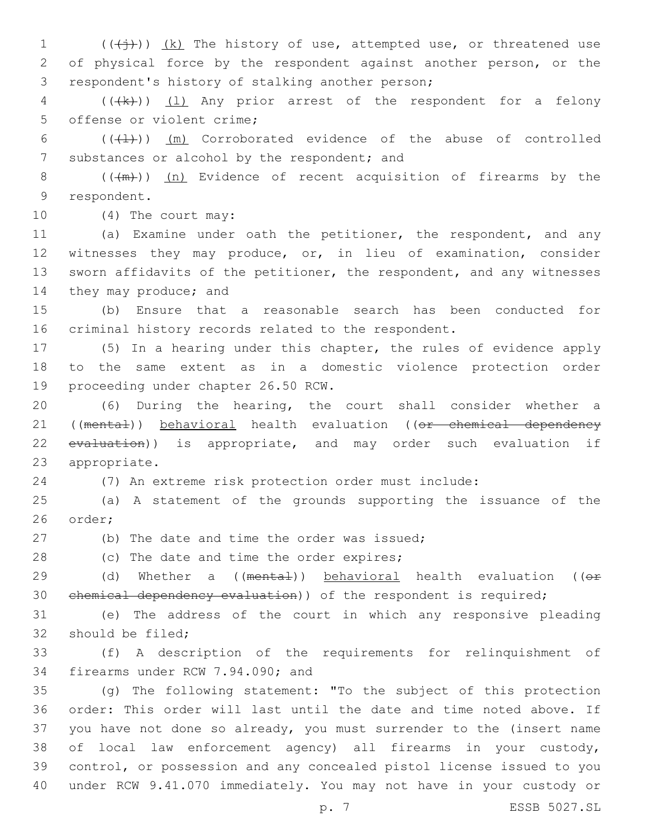$1$  (( $\overline{(+)}$ )) <u>(k)</u> The history of use, attempted use, or threatened use 2 of physical force by the respondent against another person, or the 3 respondent's history of stalking another person;

4 (((k)) (1) Any prior arrest of the respondent for a felony 5 offense or violent crime:

6  $((+1))$   $(m)$  Corroborated evidence of the abuse of controlled 7 substances or alcohol by the respondent; and

8  $((+m))$  (n) Evidence of recent acquisition of firearms by the 9 respondent.

10 (4) The court may:

 (a) Examine under oath the petitioner, the respondent, and any witnesses they may produce, or, in lieu of examination, consider sworn affidavits of the petitioner, the respondent, and any witnesses 14 they may produce; and

15 (b) Ensure that a reasonable search has been conducted for 16 criminal history records related to the respondent.

17 (5) In a hearing under this chapter, the rules of evidence apply 18 to the same extent as in a domestic violence protection order 19 proceeding under chapter 26.50 RCW.

20 (6) During the hearing, the court shall consider whether a 21 ((mental)) behavioral health evaluation ((or chemical dependency 22 evaluation)) is appropriate, and may order such evaluation if 23 appropriate.

24 (7) An extreme risk protection order must include:

25 (a) A statement of the grounds supporting the issuance of the 26 order;

(b) The date and time the order was issued;

28 (c) The date and time the order expires;

29 (d) Whether a ((mental)) behavioral health evaluation (( $\Theta$ r 30 chemical dependency evaluation)) of the respondent is required;

31 (e) The address of the court in which any responsive pleading 32 should be filed;

33 (f) A description of the requirements for relinquishment of 34 firearms under RCW 7.94.090; and

 (g) The following statement: "To the subject of this protection order: This order will last until the date and time noted above. If you have not done so already, you must surrender to the (insert name of local law enforcement agency) all firearms in your custody, control, or possession and any concealed pistol license issued to you under RCW 9.41.070 immediately. You may not have in your custody or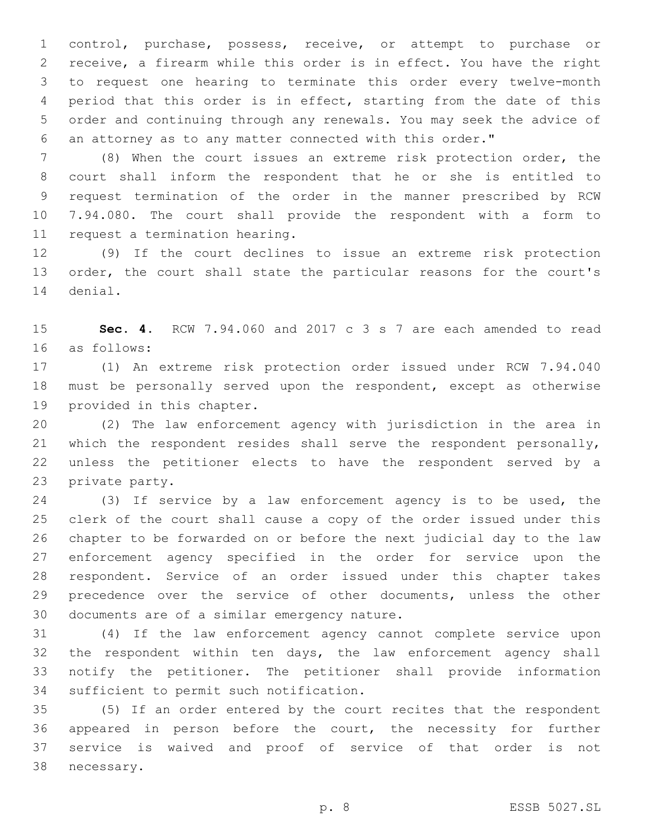control, purchase, possess, receive, or attempt to purchase or receive, a firearm while this order is in effect. You have the right to request one hearing to terminate this order every twelve-month period that this order is in effect, starting from the date of this order and continuing through any renewals. You may seek the advice of an attorney as to any matter connected with this order."

 (8) When the court issues an extreme risk protection order, the court shall inform the respondent that he or she is entitled to request termination of the order in the manner prescribed by RCW 7.94.080. The court shall provide the respondent with a form to 11 request a termination hearing.

 (9) If the court declines to issue an extreme risk protection order, the court shall state the particular reasons for the court's 14 denial.

 **Sec. 4.** RCW 7.94.060 and 2017 c 3 s 7 are each amended to read as follows:16

 (1) An extreme risk protection order issued under RCW 7.94.040 must be personally served upon the respondent, except as otherwise 19 provided in this chapter.

 (2) The law enforcement agency with jurisdiction in the area in which the respondent resides shall serve the respondent personally, unless the petitioner elects to have the respondent served by a 23 private party.

 (3) If service by a law enforcement agency is to be used, the clerk of the court shall cause a copy of the order issued under this chapter to be forwarded on or before the next judicial day to the law enforcement agency specified in the order for service upon the respondent. Service of an order issued under this chapter takes precedence over the service of other documents, unless the other 30 documents are of a similar emergency nature.

 (4) If the law enforcement agency cannot complete service upon the respondent within ten days, the law enforcement agency shall notify the petitioner. The petitioner shall provide information 34 sufficient to permit such notification.

 (5) If an order entered by the court recites that the respondent appeared in person before the court, the necessity for further service is waived and proof of service of that order is not 38 necessary.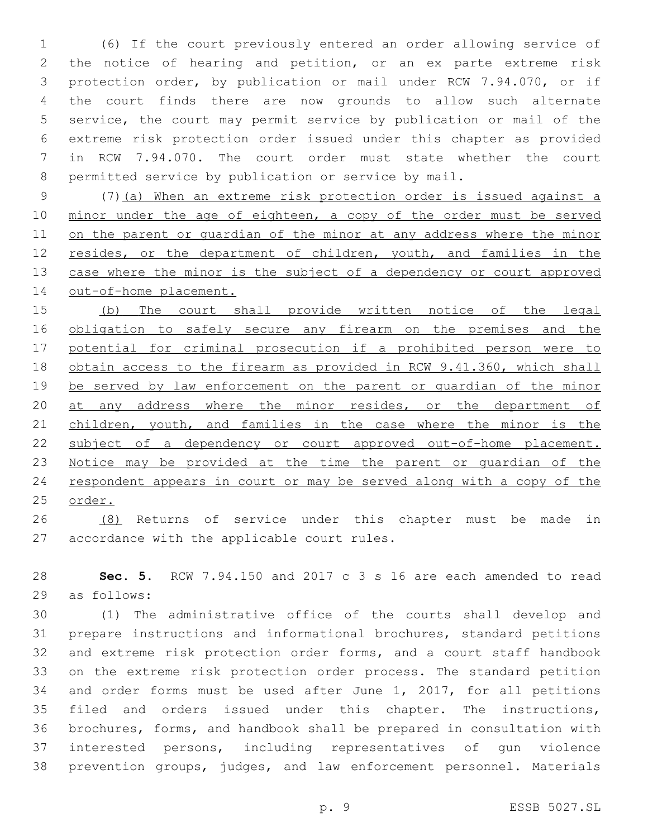(6) If the court previously entered an order allowing service of the notice of hearing and petition, or an ex parte extreme risk protection order, by publication or mail under RCW 7.94.070, or if the court finds there are now grounds to allow such alternate service, the court may permit service by publication or mail of the extreme risk protection order issued under this chapter as provided in RCW 7.94.070. The court order must state whether the court permitted service by publication or service by mail.

 (7)(a) When an extreme risk protection order is issued against a 10 minor under the age of eighteen, a copy of the order must be served on the parent or guardian of the minor at any address where the minor 12 resides, or the department of children, youth, and families in the 13 case where the minor is the subject of a dependency or court approved 14 out-of-home placement.

 (b) The court shall provide written notice of the legal 16 obligation to safely secure any firearm on the premises and the 17 potential for criminal prosecution if a prohibited person were to 18 obtain access to the firearm as provided in RCW 9.41.360, which shall be served by law enforcement on the parent or guardian of the minor 20 at any address where the minor resides, or the department of 21 children, youth, and families in the case where the minor is the subject of a dependency or court approved out-of-home placement. Notice may be provided at the time the parent or guardian of the respondent appears in court or may be served along with a copy of the order.

 (8) Returns of service under this chapter must be made in 27 accordance with the applicable court rules.

 **Sec. 5.** RCW 7.94.150 and 2017 c 3 s 16 are each amended to read 29 as follows:

 (1) The administrative office of the courts shall develop and prepare instructions and informational brochures, standard petitions and extreme risk protection order forms, and a court staff handbook on the extreme risk protection order process. The standard petition and order forms must be used after June 1, 2017, for all petitions filed and orders issued under this chapter. The instructions, brochures, forms, and handbook shall be prepared in consultation with interested persons, including representatives of gun violence prevention groups, judges, and law enforcement personnel. Materials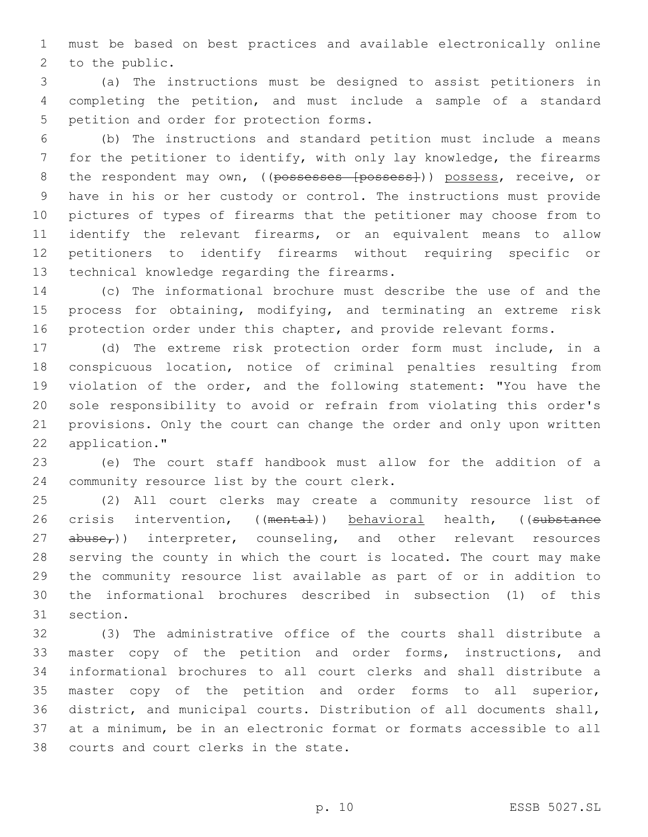must be based on best practices and available electronically online 2 to the public.

 (a) The instructions must be designed to assist petitioners in completing the petition, and must include a sample of a standard 5 petition and order for protection forms.

 (b) The instructions and standard petition must include a means for the petitioner to identify, with only lay knowledge, the firearms 8 the respondent may own, ((possesses [possess])) possess, receive, or have in his or her custody or control. The instructions must provide pictures of types of firearms that the petitioner may choose from to identify the relevant firearms, or an equivalent means to allow petitioners to identify firearms without requiring specific or 13 technical knowledge regarding the firearms.

 (c) The informational brochure must describe the use of and the process for obtaining, modifying, and terminating an extreme risk 16 protection order under this chapter, and provide relevant forms.

 (d) The extreme risk protection order form must include, in a conspicuous location, notice of criminal penalties resulting from violation of the order, and the following statement: "You have the sole responsibility to avoid or refrain from violating this order's provisions. Only the court can change the order and only upon written 22 application."

 (e) The court staff handbook must allow for the addition of a 24 community resource list by the court clerk.

 (2) All court clerks may create a community resource list of 26 crisis intervention, ((mental)) behavioral health, ((substance 27 abuse<sub>r</sub>)) interpreter, counseling, and other relevant resources serving the county in which the court is located. The court may make the community resource list available as part of or in addition to the informational brochures described in subsection (1) of this 31 section.

 (3) The administrative office of the courts shall distribute a master copy of the petition and order forms, instructions, and informational brochures to all court clerks and shall distribute a master copy of the petition and order forms to all superior, district, and municipal courts. Distribution of all documents shall, at a minimum, be in an electronic format or formats accessible to all 38 courts and court clerks in the state.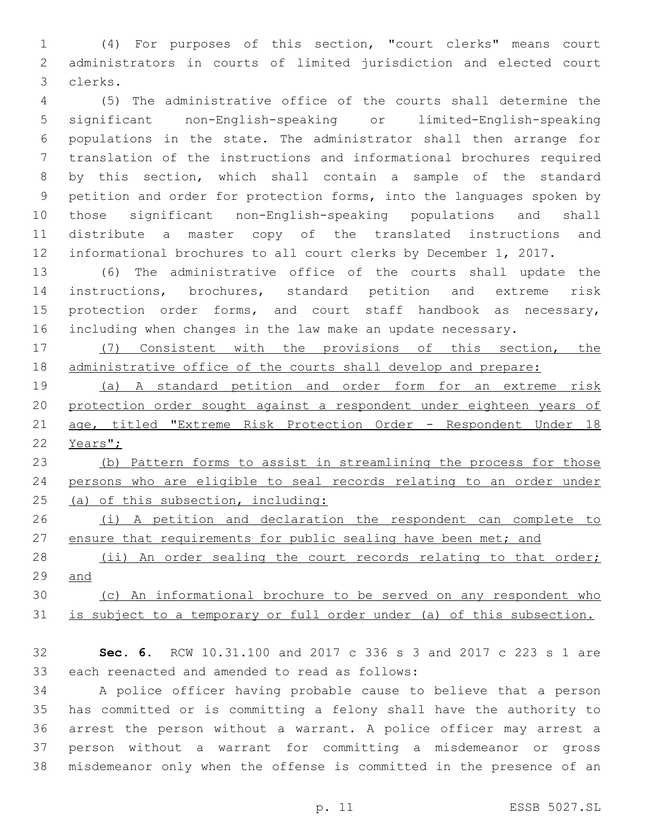(4) For purposes of this section, "court clerks" means court administrators in courts of limited jurisdiction and elected court 3 clerks.

 (5) The administrative office of the courts shall determine the significant non-English-speaking or limited-English-speaking populations in the state. The administrator shall then arrange for translation of the instructions and informational brochures required by this section, which shall contain a sample of the standard petition and order for protection forms, into the languages spoken by those significant non-English-speaking populations and shall distribute a master copy of the translated instructions and informational brochures to all court clerks by December 1, 2017.

 (6) The administrative office of the courts shall update the instructions, brochures, standard petition and extreme risk 15 protection order forms, and court staff handbook as necessary, including when changes in the law make an update necessary.

 (7) Consistent with the provisions of this section, the administrative office of the courts shall develop and prepare:

 (a) A standard petition and order form for an extreme risk protection order sought against a respondent under eighteen years of 21 age, titled "Extreme Risk Protection Order - Respondent Under 18 Years";

 (b) Pattern forms to assist in streamlining the process for those persons who are eligible to seal records relating to an order under (a) of this subsection, including:

 (i) A petition and declaration the respondent can complete to 27 ensure that requirements for public sealing have been met; and

28 (ii) An order sealing the court records relating to that order; and

 (c) An informational brochure to be served on any respondent who is subject to a temporary or full order under (a) of this subsection.

 **Sec. 6.** RCW 10.31.100 and 2017 c 336 s 3 and 2017 c 223 s 1 are 33 each reenacted and amended to read as follows:

 A police officer having probable cause to believe that a person has committed or is committing a felony shall have the authority to arrest the person without a warrant. A police officer may arrest a person without a warrant for committing a misdemeanor or gross misdemeanor only when the offense is committed in the presence of an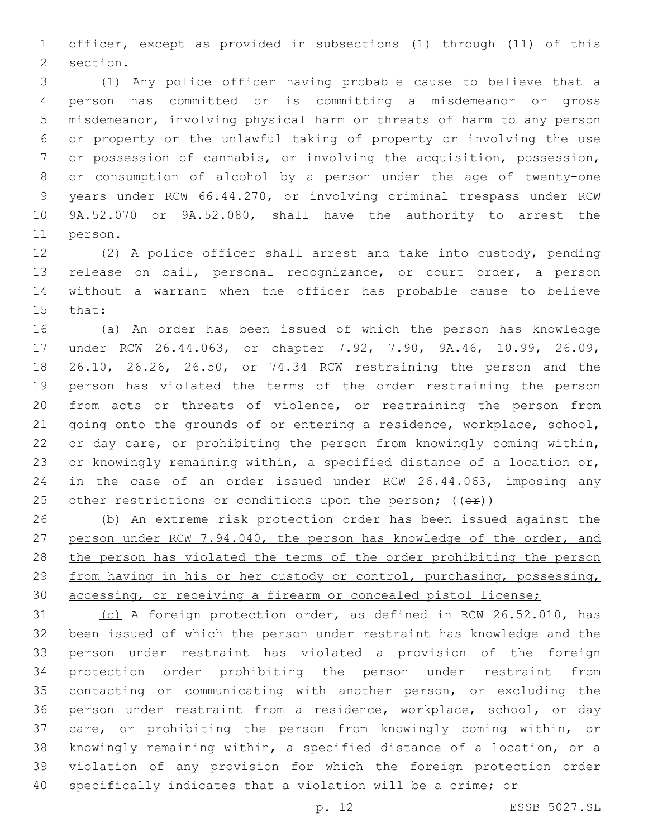officer, except as provided in subsections (1) through (11) of this 2 section.

 (1) Any police officer having probable cause to believe that a person has committed or is committing a misdemeanor or gross misdemeanor, involving physical harm or threats of harm to any person or property or the unlawful taking of property or involving the use or possession of cannabis, or involving the acquisition, possession, or consumption of alcohol by a person under the age of twenty-one years under RCW 66.44.270, or involving criminal trespass under RCW 9A.52.070 or 9A.52.080, shall have the authority to arrest the 11 person.

 (2) A police officer shall arrest and take into custody, pending release on bail, personal recognizance, or court order, a person without a warrant when the officer has probable cause to believe 15 that:

 (a) An order has been issued of which the person has knowledge under RCW 26.44.063, or chapter 7.92, 7.90, 9A.46, 10.99, 26.09, 26.10, 26.26, 26.50, or 74.34 RCW restraining the person and the person has violated the terms of the order restraining the person from acts or threats of violence, or restraining the person from going onto the grounds of or entering a residence, workplace, school, 22 or day care, or prohibiting the person from knowingly coming within, or knowingly remaining within, a specified distance of a location or, in the case of an order issued under RCW 26.44.063, imposing any 25 other restrictions or conditions upon the person;  $((\theta \cdot \hat{r}))$ 

 (b) An extreme risk protection order has been issued against the person under RCW 7.94.040, the person has knowledge of the order, and the person has violated the terms of the order prohibiting the person from having in his or her custody or control, purchasing, possessing, accessing, or receiving a firearm or concealed pistol license;

 (c) A foreign protection order, as defined in RCW 26.52.010, has been issued of which the person under restraint has knowledge and the person under restraint has violated a provision of the foreign protection order prohibiting the person under restraint from contacting or communicating with another person, or excluding the person under restraint from a residence, workplace, school, or day care, or prohibiting the person from knowingly coming within, or knowingly remaining within, a specified distance of a location, or a violation of any provision for which the foreign protection order specifically indicates that a violation will be a crime; or

p. 12 ESSB 5027.SL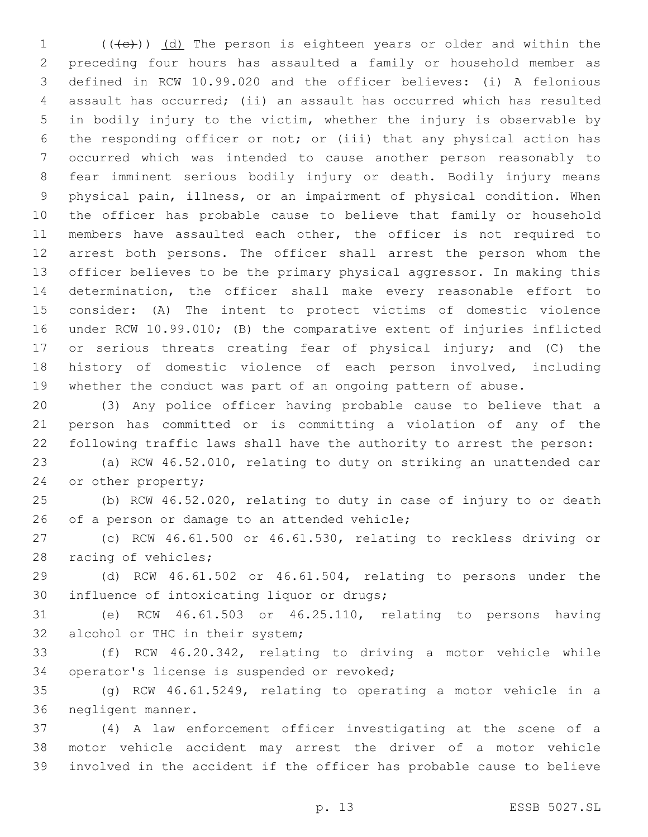$((+e))$   $(d)$  The person is eighteen years or older and within the preceding four hours has assaulted a family or household member as defined in RCW 10.99.020 and the officer believes: (i) A felonious assault has occurred; (ii) an assault has occurred which has resulted in bodily injury to the victim, whether the injury is observable by the responding officer or not; or (iii) that any physical action has occurred which was intended to cause another person reasonably to fear imminent serious bodily injury or death. Bodily injury means physical pain, illness, or an impairment of physical condition. When the officer has probable cause to believe that family or household 11 members have assaulted each other, the officer is not required to arrest both persons. The officer shall arrest the person whom the officer believes to be the primary physical aggressor. In making this determination, the officer shall make every reasonable effort to consider: (A) The intent to protect victims of domestic violence under RCW 10.99.010; (B) the comparative extent of injuries inflicted or serious threats creating fear of physical injury; and (C) the history of domestic violence of each person involved, including whether the conduct was part of an ongoing pattern of abuse.

 (3) Any police officer having probable cause to believe that a person has committed or is committing a violation of any of the following traffic laws shall have the authority to arrest the person:

 (a) RCW 46.52.010, relating to duty on striking an unattended car 24 or other property;

 (b) RCW 46.52.020, relating to duty in case of injury to or death 26 of a person or damage to an attended vehicle;

 (c) RCW 46.61.500 or 46.61.530, relating to reckless driving or 28 racing of vehicles;

 (d) RCW 46.61.502 or 46.61.504, relating to persons under the 30 influence of intoxicating liquor or drugs;

 (e) RCW 46.61.503 or 46.25.110, relating to persons having 32 alcohol or THC in their system;

 (f) RCW 46.20.342, relating to driving a motor vehicle while 34 operator's license is suspended or revoked;

 (g) RCW 46.61.5249, relating to operating a motor vehicle in a 36 negligent manner.

 (4) A law enforcement officer investigating at the scene of a motor vehicle accident may arrest the driver of a motor vehicle involved in the accident if the officer has probable cause to believe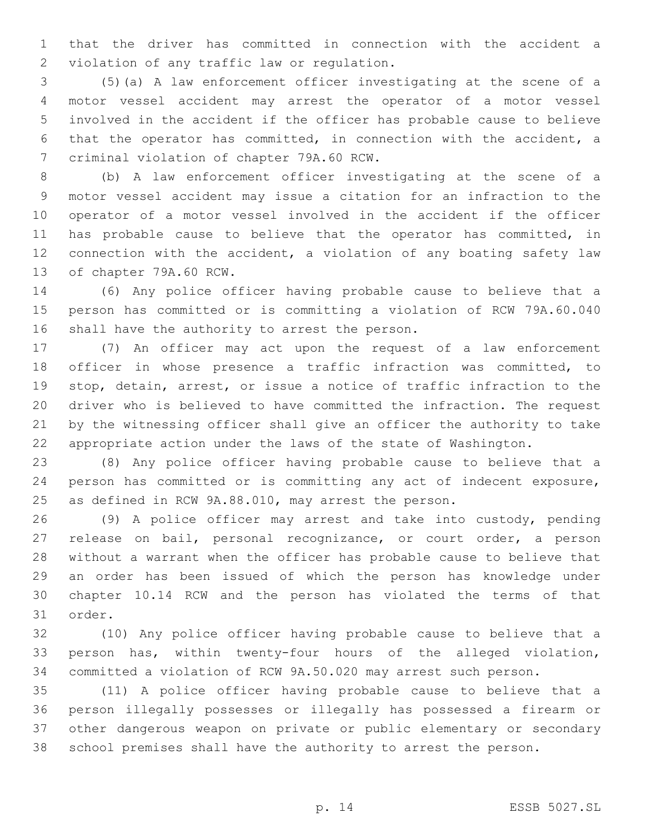that the driver has committed in connection with the accident a 2 violation of any traffic law or regulation.

 (5)(a) A law enforcement officer investigating at the scene of a motor vessel accident may arrest the operator of a motor vessel involved in the accident if the officer has probable cause to believe that the operator has committed, in connection with the accident, a 7 criminal violation of chapter 79A.60 RCW.

 (b) A law enforcement officer investigating at the scene of a motor vessel accident may issue a citation for an infraction to the operator of a motor vessel involved in the accident if the officer 11 has probable cause to believe that the operator has committed, in connection with the accident, a violation of any boating safety law 13 of chapter 79A.60 RCW.

 (6) Any police officer having probable cause to believe that a person has committed or is committing a violation of RCW 79A.60.040 16 shall have the authority to arrest the person.

 (7) An officer may act upon the request of a law enforcement officer in whose presence a traffic infraction was committed, to stop, detain, arrest, or issue a notice of traffic infraction to the driver who is believed to have committed the infraction. The request by the witnessing officer shall give an officer the authority to take appropriate action under the laws of the state of Washington.

 (8) Any police officer having probable cause to believe that a person has committed or is committing any act of indecent exposure, as defined in RCW 9A.88.010, may arrest the person.

 (9) A police officer may arrest and take into custody, pending release on bail, personal recognizance, or court order, a person without a warrant when the officer has probable cause to believe that an order has been issued of which the person has knowledge under chapter 10.14 RCW and the person has violated the terms of that 31 order.

 (10) Any police officer having probable cause to believe that a person has, within twenty-four hours of the alleged violation, committed a violation of RCW 9A.50.020 may arrest such person.

 (11) A police officer having probable cause to believe that a person illegally possesses or illegally has possessed a firearm or other dangerous weapon on private or public elementary or secondary school premises shall have the authority to arrest the person.